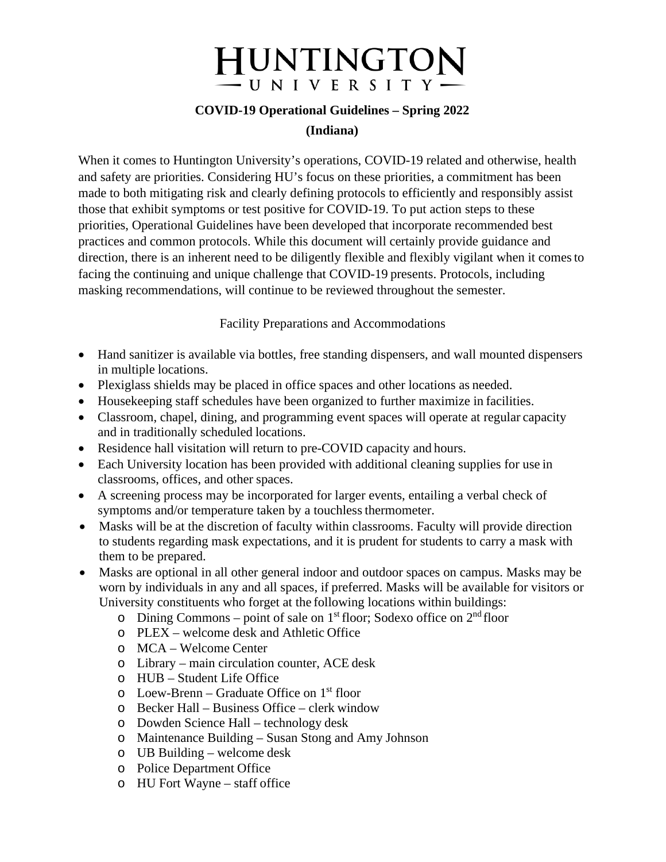# **HUNTINGTON** - U N I V E R S I T Y -

# **COVID-19 Operational Guidelines – Spring 2022 (Indiana)**

When it comes to Huntington University's operations, COVID-19 related and otherwise, health and safety are priorities. Considering HU's focus on these priorities, a commitment has been made to both mitigating risk and clearly defining protocols to efficiently and responsibly assist those that exhibit symptoms or test positive for COVID-19. To put action steps to these priorities, Operational Guidelines have been developed that incorporate recommended best practices and common protocols. While this document will certainly provide guidance and direction, there is an inherent need to be diligently flexible and flexibly vigilant when it comesto facing the continuing and unique challenge that COVID-19 presents. Protocols, including masking recommendations, will continue to be reviewed throughout the semester.

Facility Preparations and Accommodations

- Hand sanitizer is available via bottles, free standing dispensers, and wall mounted dispensers in multiple locations.
- Plexiglass shields may be placed in office spaces and other locations as needed.
- Housekeeping staff schedules have been organized to further maximize in facilities.
- Classroom, chapel, dining, and programming event spaces will operate at regular capacity and in traditionally scheduled locations.
- Residence hall visitation will return to pre-COVID capacity and hours.
- Each University location has been provided with additional cleaning supplies for use in classrooms, offices, and other spaces.
- A screening process may be incorporated for larger events, entailing a verbal check of symptoms and/or temperature taken by a touchless thermometer.
- Masks will be at the discretion of faculty within classrooms. Faculty will provide direction to students regarding mask expectations, and it is prudent for students to carry a mask with them to be prepared.
- Masks are optional in all other general indoor and outdoor spaces on campus. Masks may be worn by individuals in any and all spaces, if preferred. Masks will be available for visitors or University constituents who forget at the following locations within buildings:
	- $\circ$  Dining Commons point of sale on 1<sup>st</sup> floor; Sodexo office on 2<sup>nd</sup> floor
	- o PLEX welcome desk and Athletic Office
	- o MCA Welcome Center
	- o Library main circulation counter, ACE desk
	- o HUB Student Life Office
	- $\circ$  Loew-Brenn Graduate Office on 1<sup>st</sup> floor
	- o Becker Hall Business Office clerk window
	- o Dowden Science Hall technology desk
	- o Maintenance Building Susan Stong and Amy Johnson
	- o UB Building welcome desk
	- o Police Department Office
	- o HU Fort Wayne staff office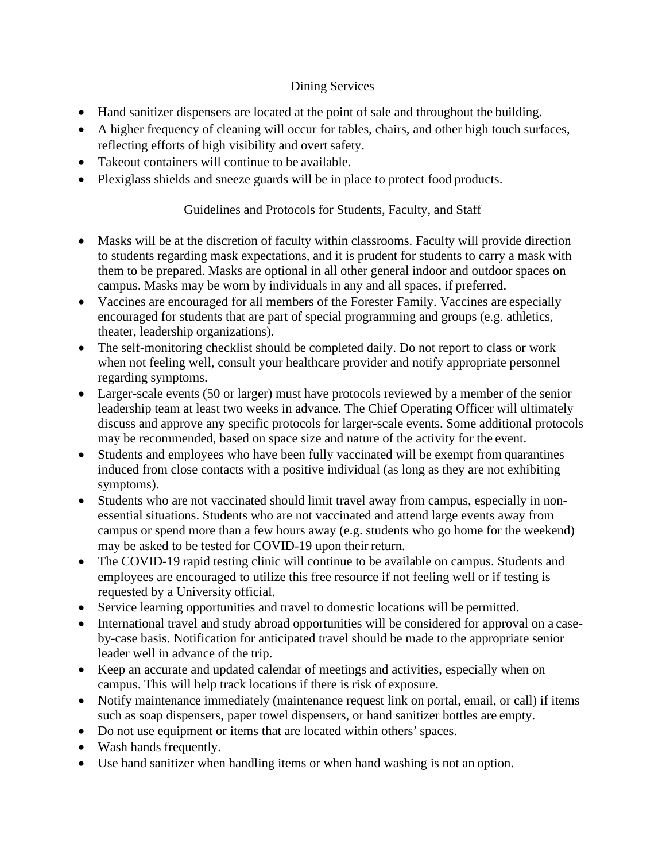## Dining Services

- Hand sanitizer dispensers are located at the point of sale and throughout the building.
- A higher frequency of cleaning will occur for tables, chairs, and other high touch surfaces, reflecting efforts of high visibility and overt safety.
- Takeout containers will continue to be available.
- Plexiglass shields and sneeze guards will be in place to protect food products.

### Guidelines and Protocols for Students, Faculty, and Staff

- Masks will be at the discretion of faculty within classrooms. Faculty will provide direction to students regarding mask expectations, and it is prudent for students to carry a mask with them to be prepared. Masks are optional in all other general indoor and outdoor spaces on campus. Masks may be worn by individuals in any and all spaces, if preferred.
- Vaccines are encouraged for all members of the Forester Family. Vaccines are especially encouraged for students that are part of special programming and groups (e.g. athletics, theater, leadership organizations).
- The self-monitoring checklist should be completed daily. Do not report to class or work when not feeling well, consult your healthcare provider and notify appropriate personnel regarding symptoms.
- Larger-scale events (50 or larger) must have protocols reviewed by a member of the senior leadership team at least two weeks in advance. The Chief Operating Officer will ultimately discuss and approve any specific protocols for larger-scale events. Some additional protocols may be recommended, based on space size and nature of the activity for the event.
- Students and employees who have been fully vaccinated will be exempt from quarantines induced from close contacts with a positive individual (as long as they are not exhibiting symptoms).
- Students who are not vaccinated should limit travel away from campus, especially in nonessential situations. Students who are not vaccinated and attend large events away from campus or spend more than a few hours away (e.g. students who go home for the weekend) may be asked to be tested for COVID-19 upon their return.
- The COVID-19 rapid testing clinic will continue to be available on campus. Students and employees are encouraged to utilize this free resource if not feeling well or if testing is requested by a University official.
- Service learning opportunities and travel to domestic locations will be permitted.
- International travel and study abroad opportunities will be considered for approval on a caseby-case basis. Notification for anticipated travel should be made to the appropriate senior leader well in advance of the trip.
- Keep an accurate and updated calendar of meetings and activities, especially when on campus. This will help track locations if there is risk of exposure.
- Notify maintenance immediately (maintenance request link on portal, email, or call) if items such as soap dispensers, paper towel dispensers, or hand sanitizer bottles are empty.
- Do not use equipment or items that are located within others' spaces.
- Wash hands frequently.
- Use hand sanitizer when handling items or when hand washing is not an option.